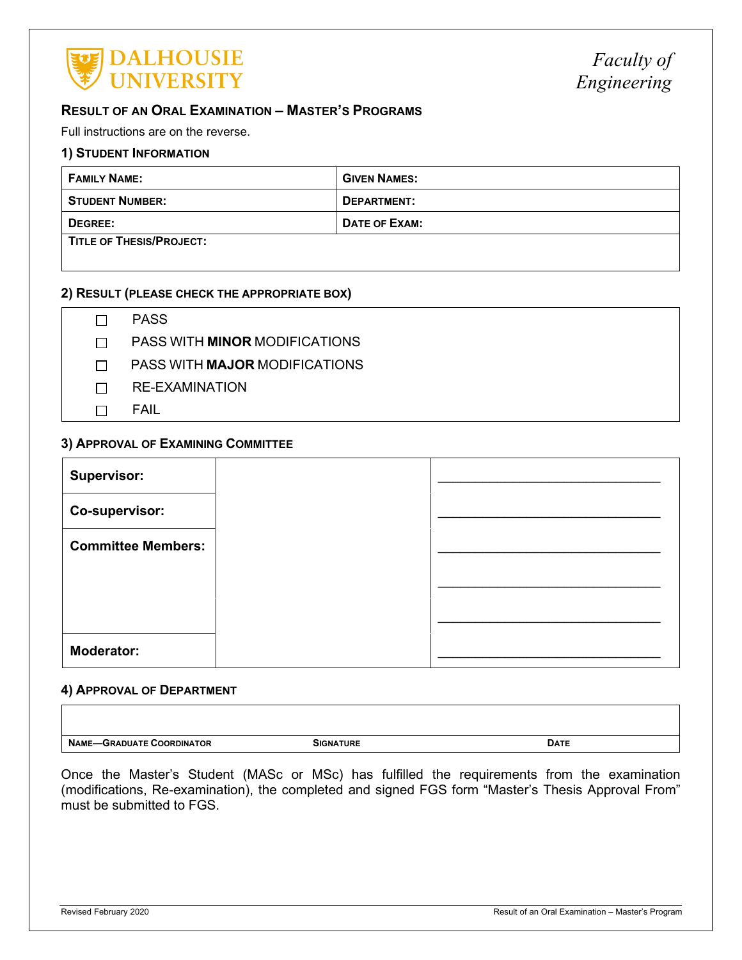

# **RESULT OF AN ORAL EXAMINATION – MASTER'S PROGRAMS**

Full instructions are on the reverse.

#### **1) STUDENT INFORMATION**

| <b>FAMILY NAME:</b>      | <b>GIVEN NAMES:</b> |
|--------------------------|---------------------|
| <b>STUDENT NUMBER:</b>   | DEPARTMENT:         |
| DEGREE:                  | DATE OF EXAM:       |
| TITLE OF THESIS/PROJECT: |                     |

## **2) RESULT (PLEASE CHECK THE APPROPRIATE BOX)**

PASS

PASS WITH **MINOR** MODIFICATIONS

PASS WITH **MAJOR** MODIFICATIONS

- RE-EXAMINATION
- $\Box$  **FAIL**

#### **3) APPROVAL OF EXAMINING COMMITTEE**

| <b>Supervisor:</b>        |  |
|---------------------------|--|
| Co-supervisor:            |  |
| <b>Committee Members:</b> |  |
|                           |  |
|                           |  |
| <b>Moderator:</b>         |  |

### **4) APPROVAL OF DEPARTMENT**

| <b>NAME</b><br>ORDINATOR<br><b>IIATE</b><br>חמי<br>. .nr | SIGNATURE | <b>DATE</b> |
|----------------------------------------------------------|-----------|-------------|

Once the Master's Student (MASc or MSc) has fulfilled the requirements from the examination (modifications, Re-examination), the completed and signed FGS form "Master's Thesis Approval From" must be submitted to FGS.

 $\Gamma$